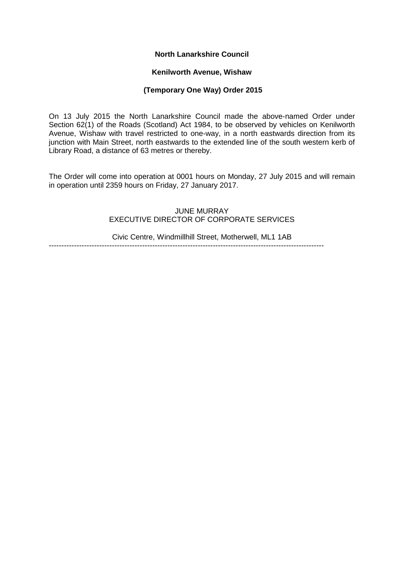# **North Lanarkshire Council**

### **Kenilworth Avenue, Wishaw**

# **(Temporary One Way) Order 2015**

On 13 July 2015 the North Lanarkshire Council made the above-named Order under Section 62(1) of the Roads (Scotland) Act 1984, to be observed by vehicles on Kenilworth Avenue, Wishaw with travel restricted to one-way, in a north eastwards direction from its junction with Main Street, north eastwards to the extended line of the south western kerb of Library Road, a distance of 63 metres or thereby.

The Order will come into operation at 0001 hours on Monday, 27 July 2015 and will remain in operation until 2359 hours on Friday, 27 January 2017.

#### JUNE MURRAY EXECUTIVE DIRECTOR OF CORPORATE SERVICES

Civic Centre, Windmillhill Street, Motherwell, ML1 1AB -------------------------------------------------------------------------------------------------------------